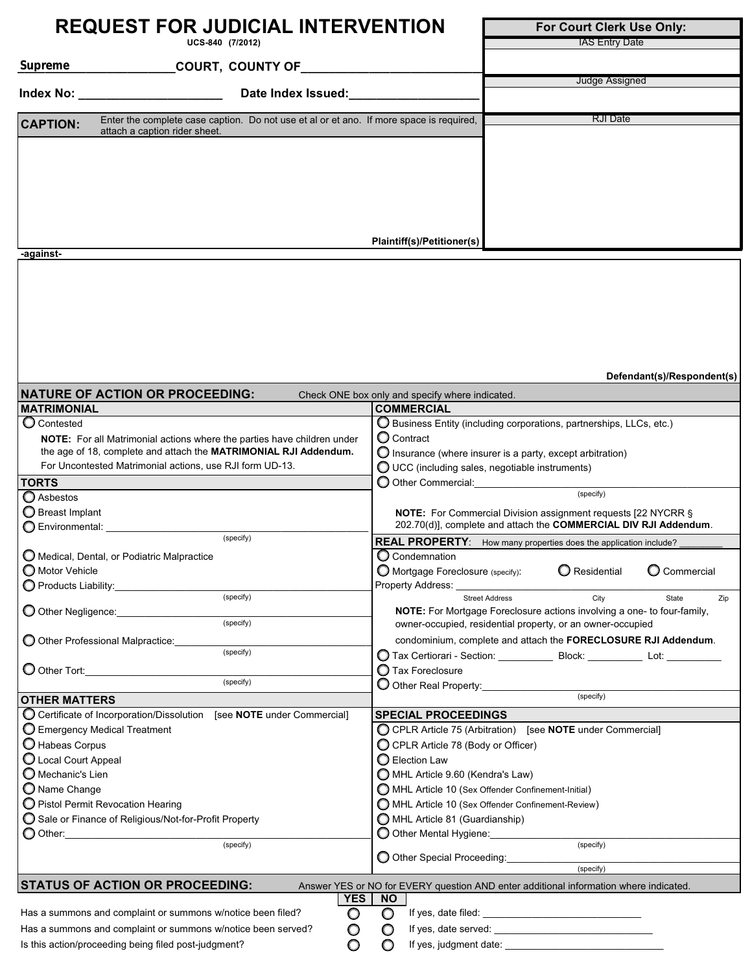|                                                      | <b>REQUEST FOR JUDICIAL INTERVENTION</b>                                                | For Court Clerk Use Only:                                                                                                                    |                                                                                                                                                    |                            |  |  |  |
|------------------------------------------------------|-----------------------------------------------------------------------------------------|----------------------------------------------------------------------------------------------------------------------------------------------|----------------------------------------------------------------------------------------------------------------------------------------------------|----------------------------|--|--|--|
|                                                      | UCS-840 (7/2012)                                                                        |                                                                                                                                              | <b>IAS Entry Date</b>                                                                                                                              |                            |  |  |  |
| Supreme                                              | _COURT, COUNTY OF_________                                                              |                                                                                                                                              |                                                                                                                                                    |                            |  |  |  |
|                                                      |                                                                                         |                                                                                                                                              | Judge Assigned                                                                                                                                     |                            |  |  |  |
| <u> Index No: _____________________</u>              | Date Index Issued:                                                                      |                                                                                                                                              |                                                                                                                                                    |                            |  |  |  |
|                                                      | Enter the complete case caption. Do not use et al or et ano. If more space is required, |                                                                                                                                              | <b>RJI</b> Date                                                                                                                                    |                            |  |  |  |
| <b>CAPTION:</b>                                      | attach a caption rider sheet.                                                           |                                                                                                                                              |                                                                                                                                                    |                            |  |  |  |
|                                                      |                                                                                         |                                                                                                                                              |                                                                                                                                                    |                            |  |  |  |
|                                                      |                                                                                         |                                                                                                                                              |                                                                                                                                                    |                            |  |  |  |
|                                                      |                                                                                         |                                                                                                                                              |                                                                                                                                                    |                            |  |  |  |
|                                                      |                                                                                         |                                                                                                                                              |                                                                                                                                                    |                            |  |  |  |
|                                                      |                                                                                         |                                                                                                                                              |                                                                                                                                                    |                            |  |  |  |
|                                                      |                                                                                         | Plaintiff(s)/Petitioner(s)                                                                                                                   |                                                                                                                                                    |                            |  |  |  |
| -against-                                            |                                                                                         |                                                                                                                                              |                                                                                                                                                    |                            |  |  |  |
|                                                      |                                                                                         |                                                                                                                                              |                                                                                                                                                    |                            |  |  |  |
|                                                      |                                                                                         |                                                                                                                                              |                                                                                                                                                    |                            |  |  |  |
|                                                      |                                                                                         |                                                                                                                                              |                                                                                                                                                    |                            |  |  |  |
|                                                      |                                                                                         |                                                                                                                                              |                                                                                                                                                    |                            |  |  |  |
|                                                      |                                                                                         |                                                                                                                                              |                                                                                                                                                    |                            |  |  |  |
|                                                      |                                                                                         |                                                                                                                                              |                                                                                                                                                    |                            |  |  |  |
|                                                      |                                                                                         |                                                                                                                                              |                                                                                                                                                    |                            |  |  |  |
|                                                      |                                                                                         |                                                                                                                                              |                                                                                                                                                    | Defendant(s)/Respondent(s) |  |  |  |
|                                                      | <b>NATURE OF ACTION OR PROCEEDING:</b>                                                  | Check ONE box only and specify where indicated.                                                                                              |                                                                                                                                                    |                            |  |  |  |
| <b>MATRIMONIAL</b>                                   |                                                                                         | <b>COMMERCIAL</b>                                                                                                                            |                                                                                                                                                    |                            |  |  |  |
| C Contested                                          |                                                                                         |                                                                                                                                              | $\bigcirc$ Business Entity (including corporations, partnerships, LLCs, etc.)                                                                      |                            |  |  |  |
|                                                      | NOTE: For all Matrimonial actions where the parties have children under                 |                                                                                                                                              | O Contract                                                                                                                                         |                            |  |  |  |
|                                                      | the age of 18, complete and attach the MATRIMONIAL RJI Addendum.                        |                                                                                                                                              | $\bigcirc$ Insurance (where insurer is a party, except arbitration)                                                                                |                            |  |  |  |
|                                                      | For Uncontested Matrimonial actions, use RJI form UD-13.                                |                                                                                                                                              | $\bigcirc$ UCC (including sales, negotiable instruments)                                                                                           |                            |  |  |  |
| <b>TORTS</b>                                         |                                                                                         |                                                                                                                                              | O Other Commercial:<br>(specify)                                                                                                                   |                            |  |  |  |
| Asbestos                                             |                                                                                         |                                                                                                                                              |                                                                                                                                                    |                            |  |  |  |
| Breast Implant<br>C Environmental: ____________      |                                                                                         |                                                                                                                                              | NOTE: For Commercial Division assignment requests [22 NYCRR §<br>202.70(d)], complete and attach the COMMERCIAL DIV RJI Addendum.                  |                            |  |  |  |
|                                                      | (specify)                                                                               |                                                                                                                                              | REAL PROPERTY: How many properties does the application include?                                                                                   |                            |  |  |  |
| O Medical, Dental, or Podiatric Malpractice          |                                                                                         | C Condemnation                                                                                                                               |                                                                                                                                                    |                            |  |  |  |
| ◯ Motor Vehicle                                      |                                                                                         |                                                                                                                                              | ○ Mortgage Foreclosure (specify): ○ Residential ○ Commercial                                                                                       |                            |  |  |  |
| O Products Liability:_________________               |                                                                                         | Property Address:                                                                                                                            |                                                                                                                                                    |                            |  |  |  |
|                                                      | (specify)                                                                               |                                                                                                                                              | City<br><b>Street Address</b>                                                                                                                      | State<br>Zip               |  |  |  |
| O Other Negligence: ______________                   | (specify)                                                                               | <b>NOTE:</b> For Mortgage Foreclosure actions involving a one- to four-family,<br>owner-occupied, residential property, or an owner-occupied |                                                                                                                                                    |                            |  |  |  |
|                                                      |                                                                                         |                                                                                                                                              |                                                                                                                                                    |                            |  |  |  |
| O Other Professional Malpractice:                    | (specify)                                                                               |                                                                                                                                              | condominium, complete and attach the FORECLOSURE RJI Addendum.<br>C Tax Certiorari - Section: Block: ___________________ Lot: ____________________ |                            |  |  |  |
| $\bigcirc$ Other Tort:                               |                                                                                         | <b>O</b> Tax Foreclosure                                                                                                                     |                                                                                                                                                    |                            |  |  |  |
|                                                      | (specify)                                                                               | O Other Real Property: <u>Containing</u>                                                                                                     |                                                                                                                                                    |                            |  |  |  |
| <b>OTHER MATTERS</b>                                 |                                                                                         |                                                                                                                                              | (specify)                                                                                                                                          |                            |  |  |  |
|                                                      | ◯ Certificate of Incorporation/Dissolution [see NOTE under Commercial]                  | <b>SPECIAL PROCEEDINGS</b>                                                                                                                   |                                                                                                                                                    |                            |  |  |  |
| Emergency Medical Treatment                          |                                                                                         |                                                                                                                                              | C CPLR Article 75 (Arbitration) [see NOTE under Commercial]                                                                                        |                            |  |  |  |
| Habeas Corpus                                        |                                                                                         | C CPLR Article 78 (Body or Officer)                                                                                                          |                                                                                                                                                    |                            |  |  |  |
| $\bigcirc$ Local Court Appeal                        |                                                                                         | ◯ Election Law                                                                                                                               |                                                                                                                                                    |                            |  |  |  |
| $\bigcirc$ Mechanic's Lien                           |                                                                                         |                                                                                                                                              | MHL Article 9.60 (Kendra's Law)                                                                                                                    |                            |  |  |  |
| $\bigcirc$ Name Change                               |                                                                                         |                                                                                                                                              | MHL Article 10 (Sex Offender Confinement-Initial)                                                                                                  |                            |  |  |  |
| $\bigcirc$ Pistol Permit Revocation Hearing          |                                                                                         |                                                                                                                                              | MHL Article 10 (Sex Offender Confinement-Review)                                                                                                   |                            |  |  |  |
|                                                      | Sale or Finance of Religious/Not-for-Profit Property                                    |                                                                                                                                              | MHL Article 81 (Guardianship)<br>O Other Mental Hygiene:                                                                                           |                            |  |  |  |
| ◯ Other:_________________________                    | (specify)                                                                               |                                                                                                                                              | (specify)                                                                                                                                          |                            |  |  |  |
|                                                      |                                                                                         | O Other Special Proceeding:                                                                                                                  |                                                                                                                                                    |                            |  |  |  |
|                                                      |                                                                                         |                                                                                                                                              | (specify)                                                                                                                                          |                            |  |  |  |
|                                                      | <b>STATUS OF ACTION OR PROCEEDING:</b>                                                  | <b>YES</b><br><b>NO</b>                                                                                                                      | Answer YES or NO for EVERY question AND enter additional information where indicated                                                               |                            |  |  |  |
|                                                      | Has a summons and complaint or summons w/notice been filed?                             | O<br>O                                                                                                                                       |                                                                                                                                                    |                            |  |  |  |
|                                                      | Has a summons and complaint or summons w/notice been served?                            | O<br>O                                                                                                                                       |                                                                                                                                                    |                            |  |  |  |
| Is this action/proceeding being filed post-judgment? |                                                                                         | O<br>O                                                                                                                                       |                                                                                                                                                    |                            |  |  |  |
|                                                      |                                                                                         |                                                                                                                                              |                                                                                                                                                    |                            |  |  |  |